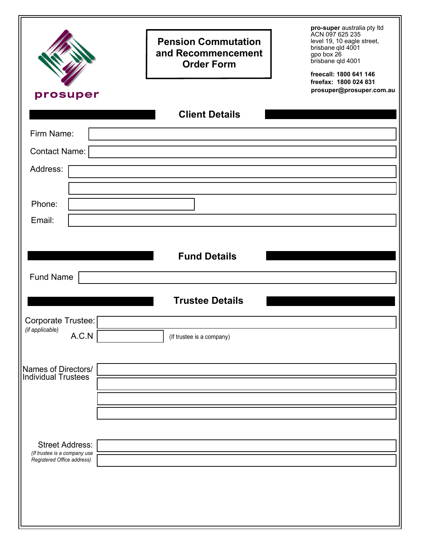|                                                        | <b>Pension Commutation</b><br>and Recommencement<br><b>Order Form</b> | pro-super australia pty ltd<br>ACN 097 625 235<br>level 19, 10 eagle street,<br>brisbane qld 4001<br>gpo box 26<br>brisbane qld 4001<br>freecall: 1800 641 146<br>freefax: 1800 024 831 |
|--------------------------------------------------------|-----------------------------------------------------------------------|-----------------------------------------------------------------------------------------------------------------------------------------------------------------------------------------|
| prosuper                                               |                                                                       | prosuper@prosuper.com.au                                                                                                                                                                |
|                                                        | <b>Client Details</b>                                                 |                                                                                                                                                                                         |
| Firm Name:                                             |                                                                       |                                                                                                                                                                                         |
| Contact Name:                                          |                                                                       |                                                                                                                                                                                         |
| Address:                                               |                                                                       |                                                                                                                                                                                         |
|                                                        |                                                                       |                                                                                                                                                                                         |
| Phone:                                                 |                                                                       |                                                                                                                                                                                         |
| Email:                                                 |                                                                       |                                                                                                                                                                                         |
| Fund Name                                              | <b>Fund Details</b>                                                   |                                                                                                                                                                                         |
|                                                        | <b>Trustee Details</b>                                                |                                                                                                                                                                                         |
| Corporate Trustee: [<br>(if applicable)<br>A.C.N       | (If trustee is a company)                                             |                                                                                                                                                                                         |
| Names of Directors/<br>Individual Trustees             |                                                                       |                                                                                                                                                                                         |
|                                                        |                                                                       |                                                                                                                                                                                         |
| <b>Street Address:</b><br>(If trustee is a company use |                                                                       |                                                                                                                                                                                         |
| Registered Office address)                             |                                                                       |                                                                                                                                                                                         |
|                                                        |                                                                       |                                                                                                                                                                                         |